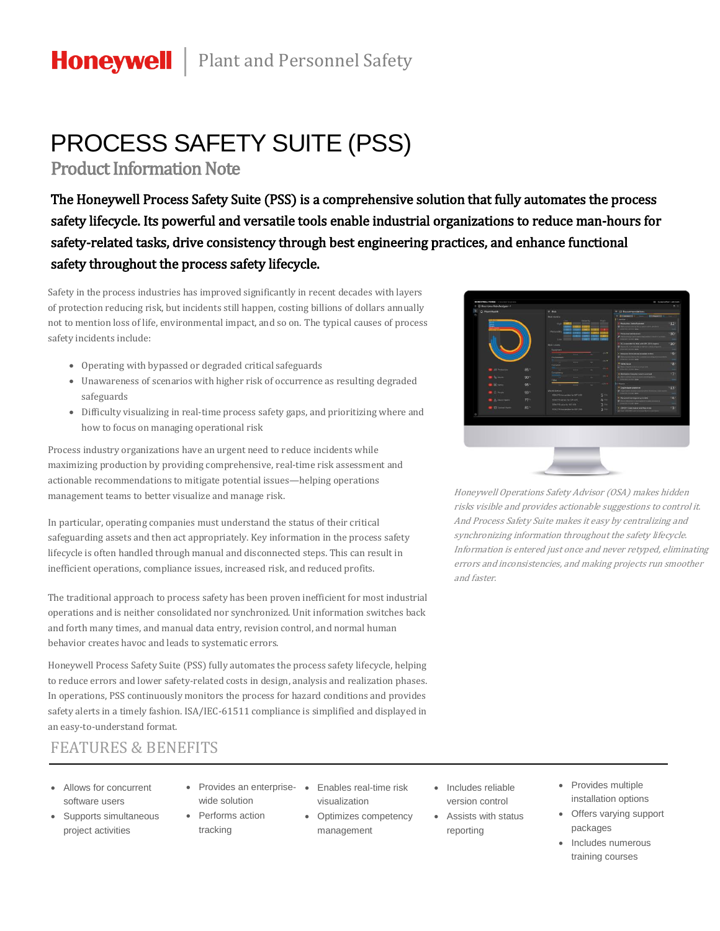# PROCESS SAFETY SUITE (PSS)

Product Information Note

**Honeywell** 

The Honeywell Process Safety Suite (PSS) is a comprehensive solution that fully automates the process safety lifecycle. Its powerful and versatile tools enable industrial organizations to reduce man-hours for safety-related tasks, drive consistency through best engineering practices, and enhance functional safety throughout the process safety lifecycle.

 Safety in the process industries has improved significantly in recent decades with layers not to mention loss of life, environmental impact, and so on. The typical causes of process of protection reducing risk, but incidents still happen, costing billions of dollars annually safety incidents include:

- Operating with bypassed or degraded critical safeguards
- Unawareness of scenarios with higher risk of occurrence as resulting degraded safeguards
- Difficulty visualizing in real-time process safety gaps, and prioritizing where and how to focus on managing operational risk

Process industry organizations have an urgent need to reduce incidents while maximizing production by providing comprehensive, real-time risk assessment and actionable recommendations to mitigate potential issues—helping operations management teams to better visualize and manage risk.

In particular, operating companies must understand the status of their critical safeguarding assets and then act appropriately. Key information in the process safety lifecycle is often handled through manual and disconnected steps. This can result in inefficient operations, compliance issues, increased risk, and reduced profits.

The traditional approach to process safety has been proven inefficient for most industrial operations and is neither consolidated nor synchronized. Unit information switches back and forth many times, and manual data entry, revision control, and normal human behavior creates havoc and leads to systematic errors.

Honeywell Process Safety Suite (PSS) fully automates the process safety lifecycle, helping to reduce errors and lower safety-related costs in design, analysis and realization phases. In operations, PSS continuously monitors the process for hazard conditions and provides safety alerts in a timely fashion. ISA/IEC-61511 compliance is simplified and displayed in an easy-to-understand format.

# FEATURES & BENEFITS

- Allows for concurrent software users
- Supports simultaneous project activities
- wide solution
- Performs action tracking
- Provides an enterprise- Enables real-time risk visualization
	- Optimizes competency management
- Includes reliable version control
- Assists with status reporting
- Provides multiple installation options
- Offers varying support packages
- Includes numerous training courses

| 11 C Real-time Risk Analyzer 6  |                 |                                |                                |                                                                                                           | $\mathbf{r}$    |
|---------------------------------|-----------------|--------------------------------|--------------------------------|-----------------------------------------------------------------------------------------------------------|-----------------|
| $\mathbf{L}$<br>O. Plant Health |                 | @ Risk                         |                                | <b>U. 12 Recommendations</b>                                                                              |                 |
|                                 |                 | <b>REGCIARDIS</b>              |                                | <b>Williams</b> Inc.                                                                                      |                 |
|                                 |                 | <b>Security</b>                | High.                          | $\sim$                                                                                                    |                 |
|                                 |                 | PRofi                          |                                | Political trees & better Plannership                                                                      | $12^{\circ}$    |
|                                 |                 | <b>Humahiry</b>                |                                | $2 - 1 - 1$                                                                                               |                 |
|                                 |                 |                                |                                | <b><i>Photographical deliverent</i></b>                                                                   | 10              |
|                                 |                 | T.                             |                                |                                                                                                           |                 |
|                                 |                 |                                |                                | We A specialist for Bids with U.P. (225 in league)                                                        | 10              |
|                                 |                 | <b>Vick Lowels</b>             |                                | $+ - + - + -$                                                                                             | ۰               |
|                                 |                 | <b>Colorant</b>                |                                |                                                                                                           |                 |
|                                 |                 | <b>Constrant</b>               | $111 -$                        | * Electronic foreign and the connected by taking<br>$\begin{array}{c} \bullet \text{ matrix} \end{array}$ | 19              |
|                                 |                 |                                | in w                           | -<br><b>Production</b>                                                                                    | ÷               |
|                                 |                 | <b>College</b>                 |                                | * Suite to fease .                                                                                        | ra-             |
| all differences                 | 85              | $\sim$                         | $164 -$                        | <b>Reserves to the State</b>                                                                              | u               |
|                                 |                 | Computercy                     |                                | . (Satisface Corocle in durn over tool                                                                    | 17 <sup>1</sup> |
| <b>Co</b> Systems               | 90%             | w                              | $198 - 6$                      | A wroman and                                                                                              | ٠               |
|                                 |                 |                                |                                |                                                                                                           | ۰               |
| $\bullet$ E in                  | $95 -$          |                                | $(196 -$                       | 15 Notes                                                                                                  |                 |
|                                 |                 | Warst Actors                   |                                | * Linguistan partition                                                                                    | (13)            |
| $0.0 \, \mathrm{meV}$           | 93 <sup>5</sup> | FOAC75 transmitted for SIF-103 | 5 <sup>1</sup>                 | <b>R</b> representations                                                                                  | ٠               |
| <b>B</b> & Incorpora            | $77^{\circ}$    | FONDY Learner for St 1-2011    | 4.100                          | * Personal known profiles to date                                                                         | (a)             |
|                                 |                 |                                |                                | $Q = 0.01$ (Figure 1) ( $Q = 0.01$                                                                        | ٠               |
| <b>C</b> Constitute             | $81 -$          | FDA275 value for S.F-123       | 3 <sup>7</sup>                 | . 15FBTC Cruin hasher term flow in law                                                                    | 13              |
|                                 |                 | 123275 frementies by CP-256    | $3^{\prime\prime\prime\prime}$ | all Trans Editorial Lane prints                                                                           |                 |
| o                               |                 |                                |                                |                                                                                                           |                 |
|                                 |                 |                                |                                |                                                                                                           |                 |
|                                 |                 |                                |                                |                                                                                                           |                 |
|                                 |                 |                                |                                |                                                                                                           |                 |
|                                 |                 |                                |                                |                                                                                                           |                 |
|                                 |                 |                                |                                |                                                                                                           |                 |
|                                 |                 |                                |                                |                                                                                                           |                 |
|                                 |                 |                                |                                |                                                                                                           |                 |
|                                 |                 |                                |                                |                                                                                                           |                 |
|                                 |                 |                                |                                |                                                                                                           |                 |
|                                 |                 |                                |                                |                                                                                                           |                 |
|                                 |                 |                                |                                |                                                                                                           |                 |
|                                 |                 |                                |                                |                                                                                                           |                 |
|                                 |                 |                                |                                |                                                                                                           |                 |
|                                 |                 |                                |                                | <b>BERTHY STATE</b>                                                                                       |                 |
|                                 |                 |                                |                                |                                                                                                           |                 |

Honeywell Operations Safety Advisor (OSA) makes hidden risks visible and provides actionable suggestions to control it. And Process Safety Suite makes it easy by centralizing and synchronizing information throughout the safety lifecycle. Information is entered just once and never retyped, eliminating errors and inconsistencies, and making projects run smoother and faster.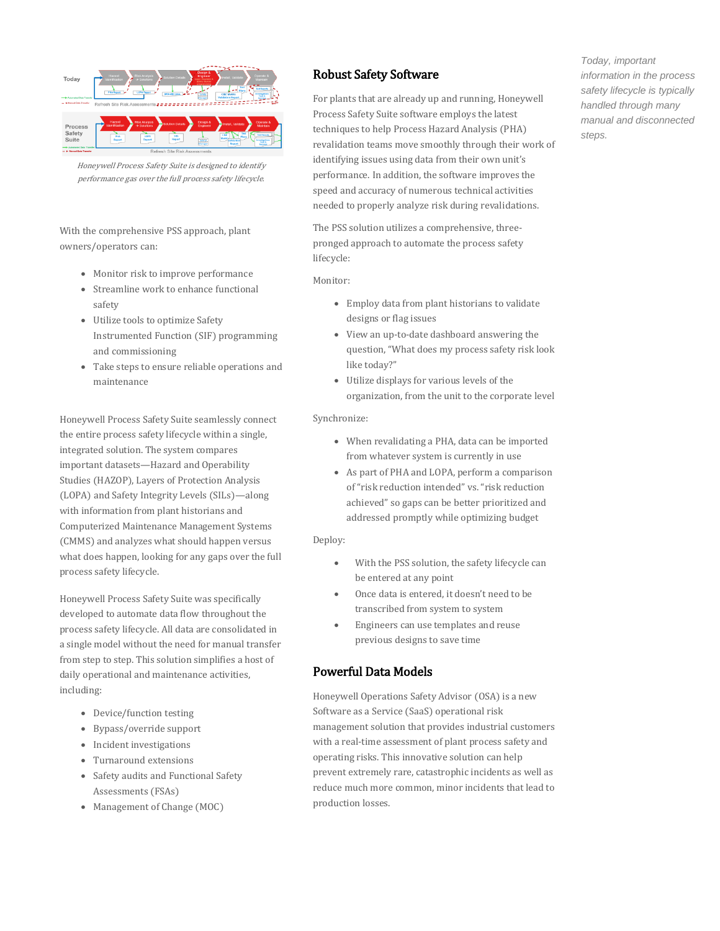

Honeywell Process Safety Suite is designed to identify performance gas over the full process safety lifecycle.

With the comprehensive PSS approach, plant owners/operators can:

- Monitor risk to improve performance
- Streamline work to enhance functional safety
- Utilize tools to optimize Safety Instrumented Function (SIF) programming and commissioning
- Take steps to ensure reliable operations and maintenance

Honeywell Process Safety Suite seamlessly connect the entire process safety lifecycle within a single, integrated solution. The system compares important datasets—Hazard and Operability Studies (HAZOP), Layers of Protection Analysis (LOPA) and Safety Integrity Levels (SILs)—along with information from plant historians and Computerized Maintenance Management Systems (CMMS) and analyzes what should happen versus what does happen, looking for any gaps over the full process safety lifecycle.

Honeywell Process Safety Suite was specifically developed to automate data flow throughout the process safety lifecycle. All data are consolidated in a single model without the need for manual transfer from step to step. This solution simplifies a host of daily operational and maintenance activities, including:

- Device/function testing
- Bypass/override support
- Incident investigations
- Turnaround extensions
- Safety audits and Functional Safety Assessments (FSAs)
- Management of Change (MOC)

# Robust Safety Software

For plants that are already up and running, Honeywell Process Safety Suite software employs the latest techniques to help Process Hazard Analysis (PHA) revalidation teams move smoothly through their work of identifying issues using data from their own unit's performance. In addition, the software improves the speed and accuracy of numerous technical activities needed to properly analyze risk during revalidations.

The PSS solution utilizes a comprehensive, threepronged approach to automate the process safety lifecycle:

Monitor:

- Employ data from plant historians to validate designs or flag issues
- View an up-to-date dashboard answering the question, "What does my process safety risk look like today?"
- Utilize displays for various levels of the organization, from the unit to the corporate level

#### Synchronize:

- When revalidating a PHA, data can be imported from whatever system is currently in use
- As part of PHA and LOPA, perform a comparison of "risk reduction intended" vs. "risk reduction achieved" so gaps can be better prioritized and addressed promptly while optimizing budget

#### Deploy:

- With the PSS solution, the safety lifecycle can be entered at any point
- Once data is entered, it doesn't need to be transcribed from system to system
- Engineers can use templates and reuse previous designs to save time

# Powerful Data Models

Honeywell Operations Safety Advisor (OSA) is a new Software as a Service (SaaS) operational risk management solution that provides industrial customers with a real-time assessment of plant process safety and operating risks. This innovative solution can help prevent extremely rare, catastrophic incidents as well as reduce much more common, minor incidents that lead to production losses.

*Today, important information in the process safety lifecycle is typically handled through many manual and disconnected steps.*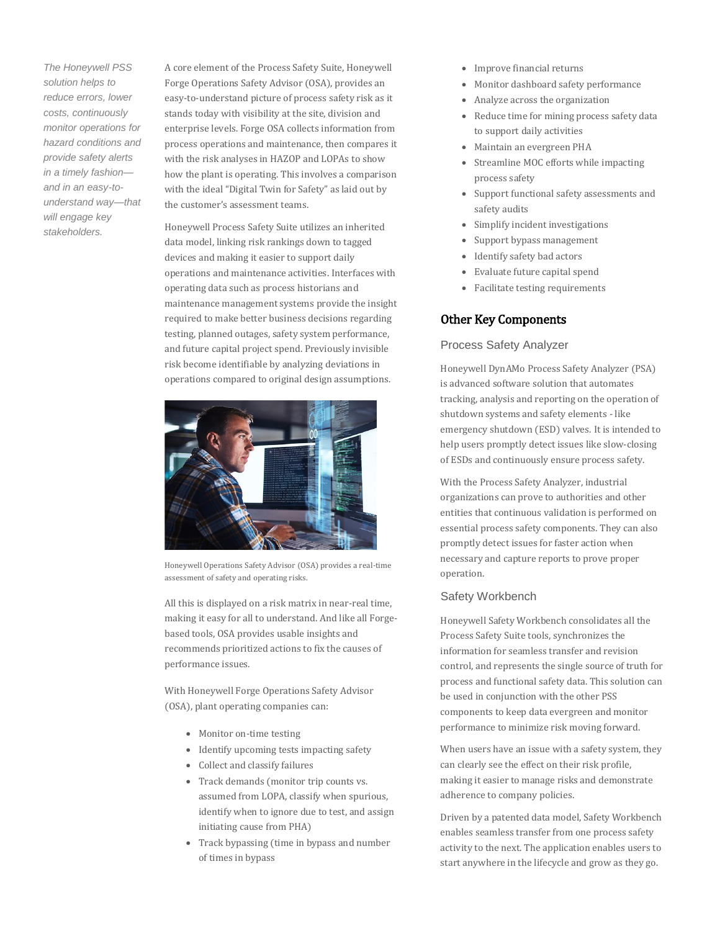*The Honeywell PSS solution helps to reduce errors, lower costs, continuously monitor operations for hazard conditions and provide safety alerts in a timely fashion and in an easy-tounderstand way—that will engage key stakeholders.*

A core element of the Process Safety Suite, Honeywell Forge Operations Safety Advisor (OSA), provides an easy-to-understand picture of process safety risk as it stands today with visibility at the site, division and enterprise levels. Forge OSA collects information from process operations and maintenance, then compares it with the risk analyses in HAZOP and LOPAs to show how the plant is operating. This involves a comparison with the ideal "Digital Twin for Safety" as laid out by the customer's assessment teams.

Honeywell Process Safety Suite utilizes an inherited data model, linking risk rankings down to tagged devices and making it easier to support daily operations and maintenance activities. Interfaces with operating data such as process historians and maintenance management systems provide the insight required to make better business decisions regarding testing, planned outages, safety system performance, and future capital project spend. Previously invisible risk become identifiable by analyzing deviations in operations compared to original design assumptions.



Honeywell Operations Safety Advisor (OSA) provides a real-time assessment of safety and operating risks.

All this is displayed on a risk matrix in near-real time, making it easy for all to understand. And like all Forgebased tools, OSA provides usable insights and recommends prioritized actions to fix the causes of performance issues.

With Honeywell Forge Operations Safety Advisor (OSA), plant operating companies can:

- Monitor on-time testing
- Identify upcoming tests impacting safety
- Collect and classify failures
- Track demands (monitor trip counts vs. assumed from LOPA, classify when spurious, identify when to ignore due to test, and assign initiating cause from PHA)
- Track bypassing (time in bypass and number of times in bypass
- Improve financial returns
- Monitor dashboard safety performance
- Analyze across the organization
- Reduce time for mining process safety data to support daily activities
- Maintain an evergreen PHA
- Streamline MOC efforts while impacting process safety
- Support functional safety assessments and safety audits
- Simplify incident investigations
- Support bypass management
- Identify safety bad actors
- Evaluate future capital spend
- Facilitate testing requirements

# Other Key Components

#### Process Safety Analyzer

Honeywell DynAMo Process Safety Analyzer (PSA) is advanced software solution that automates tracking, analysis and reporting on the operation of shutdown systems and safety elements - like emergency shutdown (ESD) valves. It is intended to help users promptly detect issues like slow-closing of ESDs and continuously ensure process safety.

With the Process Safety Analyzer, industrial organizations can prove to authorities and other entities that continuous validation is performed on essential process safety components. They can also promptly detect issues for faster action when necessary and capture reports to prove proper operation.

#### Safety Workbench

Honeywell Safety Workbench consolidates all the Process Safety Suite tools, synchronizes the information for seamless transfer and revision control, and represents the single source of truth for process and functional safety data. This solution can be used in conjunction with the other PSS components to keep data evergreen and monitor performance to minimize risk moving forward.

When users have an issue with a safety system, they can clearly see the effect on their risk profile, making it easier to manage risks and demonstrate adherence to company policies.

Driven by a patented data model, Safety Workbench enables seamless transfer from one process safety activity to the next. The application enables users to start anywhere in the lifecycle and grow as they go.